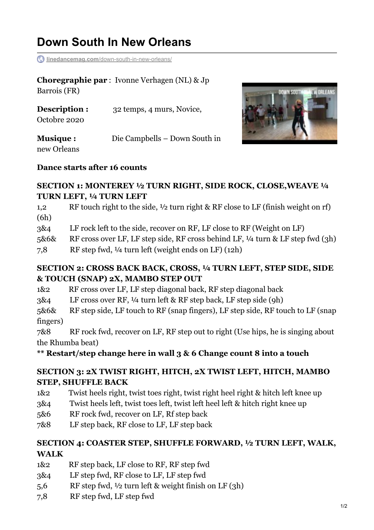# **Down South In New Orleans**

**linedancemag.com**[/down-south-in-new-orleans/](https://www.linedancemag.com/down-south-in-new-orleans/)

**Choregraphie par** : Ivonne Verhagen (NL) & Jp Barrois (FR)

| Description :   | 32 temps, 4 murs, Novice,     |
|-----------------|-------------------------------|
| Octobre 2020    |                               |
| <b>Musique:</b> | Die Campbells – Down South in |



# new Orleans

#### **Dance starts after 16 counts**

#### **SECTION 1: MONTEREY ½ TURN RIGHT, SIDE ROCK, CLOSE,WEAVE ¼ TURN LEFT, ¼ TURN LEFT**

1,2 RF touch right to the side, ½ turn right & RF close to LF (finish weight on rf) (6h)

3&4 LF rock left to the side, recover on RF, LF close to RF (Weight on LF)

5&6& RF cross over LF, LF step side, RF cross behind LF, ¼ turn & LF step fwd (3h)

7,8 RF step fwd, ¼ turn left (weight ends on LF) (12h)

#### **SECTION 2: CROSS BACK BACK, CROSS, ¼ TURN LEFT, STEP SIDE, SIDE & TOUCH (SNAP) 2X, MAMBO STEP OUT**

1&2 RF cross over LF, LF step diagonal back, RF step diagonal back

3&4 LF cross over RF, ¼ turn left & RF step back, LF step side (9h)

5&6& RF step side, LF touch to RF (snap fingers), LF step side, RF touch to LF (snap fingers)

7&8 RF rock fwd, recover on LF, RF step out to right (Use hips, he is singing about the Rhumba beat)

**\*\* Restart/step change here in wall 3 & 6 Change count 8 into a touch**

## **SECTION 3: 2X TWIST RIGHT, HITCH, 2X TWIST LEFT, HITCH, MAMBO STEP, SHUFFLE BACK**

- 1&2 Twist heels right, twist toes right, twist right heel right & hitch left knee up
- 3&4 Twist heels left, twist toes left, twist left heel left & hitch right knee up
- 5&6 RF rock fwd, recover on LF, Rf step back
- 7&8 LF step back, RF close to LF, LF step back

## **SECTION 4: COASTER STEP, SHUFFLE FORWARD, ½ TURN LEFT, WALK, WALK**

- 1&2 RF step back, LF close to RF, RF step fwd
- 3&4 LF step fwd, RF close to LF, LF step fwd
- 5,6 RF step fwd, ½ turn left & weight finish on LF (3h)
- 7,8 RF step fwd, LF step fwd